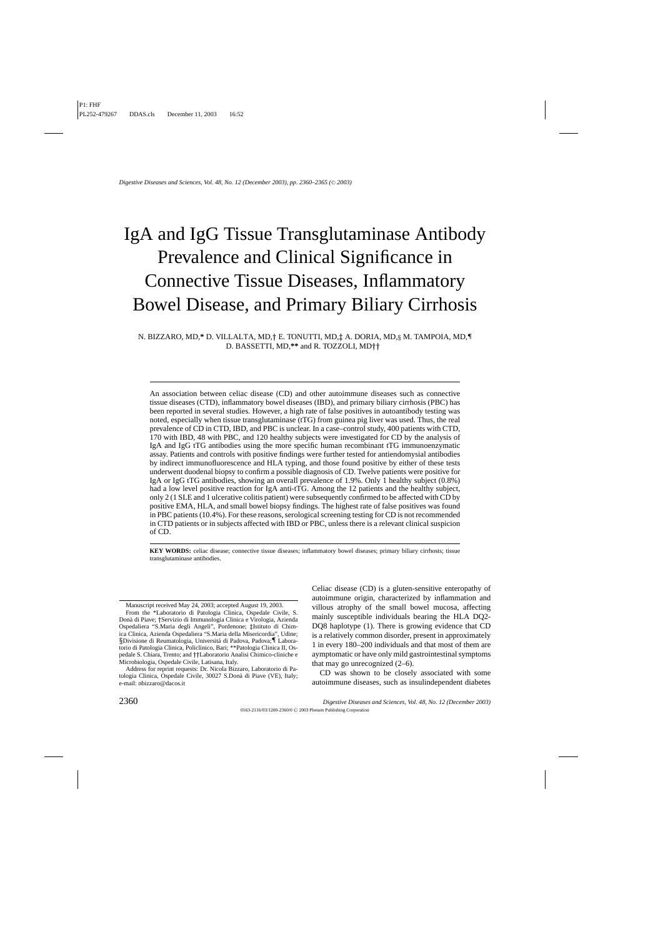# IgA and IgG Tissue Transglutaminase Antibody Prevalence and Clinical Significance in Connective Tissue Diseases, Inflammatory Bowel Disease, and Primary Biliary Cirrhosis

N. BIZZARO, MD,**\*** D. VILLALTA, MD,*†* E. TONUTTI, MD,*‡* A. DORIA, MD,*§* M. TAMPOIA, MD,*¶* D. BASSETTI, MD,**\*\*** and R. TOZZOLI, MD*††*

An association between celiac disease (CD) and other autoimmune diseases such as connective tissue diseases (CTD), inflammatory bowel diseases (IBD), and primary biliary cirrhosis (PBC) has been reported in several studies. However, a high rate of false positives in autoantibody testing was noted, especially when tissue transglutaminase (tTG) from guinea pig liver was used. Thus, the real prevalence of CD in CTD, IBD, and PBC is unclear. In a case–control study, 400 patients with CTD, 170 with IBD, 48 with PBC, and 120 healthy subjects were investigated for CD by the analysis of IgA and IgG tTG antibodies using the more specific human recombinant tTG immunoenzymatic assay. Patients and controls with positive findings were further tested for antiendomysial antibodies by indirect immunofluorescence and HLA typing, and those found positive by either of these tests underwent duodenal biopsy to confirm a possible diagnosis of CD. Twelve patients were positive for IgA or IgG tTG antibodies, showing an overall prevalence of 1.9%. Only 1 healthy subject (0.8%) had a low level positive reaction for IgA anti-tTG. Among the 12 patients and the healthy subject, only 2 (1 SLE and 1 ulcerative colitis patient) were subsequently confirmed to be affected with CD by positive EMA, HLA, and small bowel biopsy findings. The highest rate of false positives was found in PBC patients (10.4%). For these reasons, serological screening testing for CD is not recommended in CTD patients or in subjects affected with IBD or PBC, unless there is a relevant clinical suspicion of CD.

**KEY WORDS:** celiac disease; connective tissue diseases; inflammatory bowel diseases; primary biliary cirrhosts; tissue transglutaminase antibodies.

Manuscript received May 24, 2003; accepted August 19, 2003.

Address for reprint requests: Dr. Nicola Bizzaro, Laboratorio di Patologia Clinica, Ospedale Civile, 30027 S.Donà di Piave (VE), Italy; e-mail: nbizzaro@dacos.it

Celiac disease (CD) is a gluten-sensitive enteropathy of autoimmune origin, characterized by inflammation and villous atrophy of the small bowel mucosa, affecting mainly susceptible individuals bearing the HLA DQ2- DQ8 haplotype (1). There is growing evidence that CD is a relatively common disorder, present in approximately 1 in every 180–200 individuals and that most of them are aymptomatic or have only mild gastrointestinal symptoms that may go unrecognized (2–6).

CD was shown to be closely associated with some autoimmune diseases, such as insulindependent diabetes

From the \*Laboratorio di Patologia Clinica, Ospedale Civile, S. Don`a di Piave; *†*Servizio di Immunologia Clinica e Virologia, Azienda Ospedaliera "S.Maria degli Angeli", Pordenone; *‡*Istituto di Chimica Clinica, Azienda Ospedaliera "S.Maria della Misericordia", Udine; *§*Divisione di Reumatologia, Universit`a di Padova, Padova;*¶* Laboratorio di Patologia Clinica, Policlinico, Bari; \*\*Patologia Clinica II, Ospedale S. Chiara, Trento; and *††*Laboratorio Analisi Chimico-cliniche e Microbiologia, Ospedale Civile, Latisana, Italy.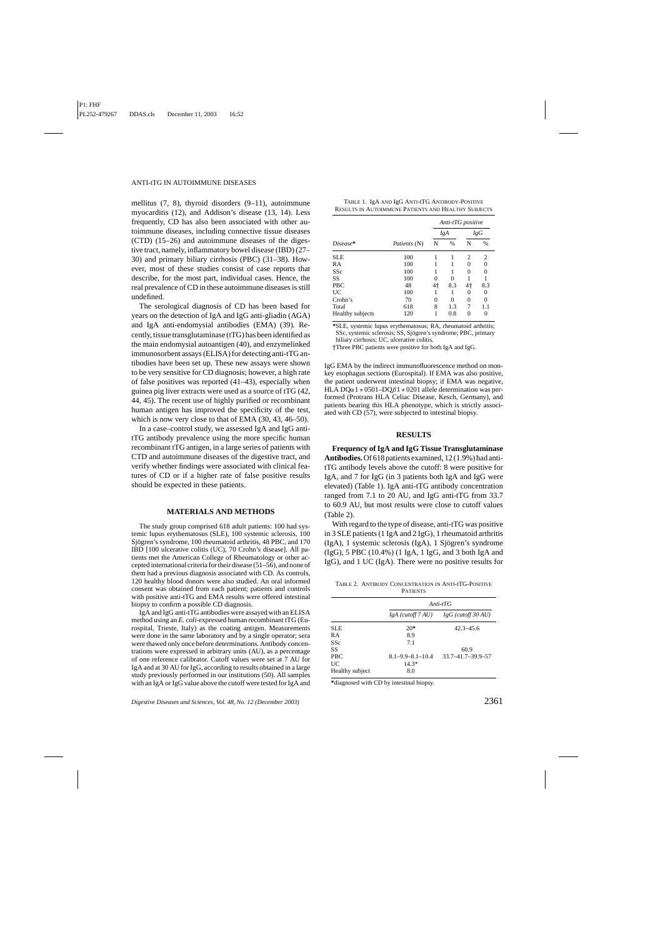mellitus (7, 8), thyroid disorders (9–11), autoimmune myocarditis (12), and Addison's disease (13, 14). Less frequently, CD has also been associated with other autoimmune diseases, including connective tissue diseases (CTD) (15–26) and autoimmune diseases of the digestive tract, namely, inflammatory bowel disease (IBD) (27– 30) and primary biliary cirrhosis (PBC) (31–38). However, most of these studies consist of case reports that describe, for the most part, individual cases. Hence, the real prevalence of CD in these autoimmune diseases is still undefined.

The serological diagnosis of CD has been based for years on the detection of IgA and IgG anti-gliadin (AGA) and IgA anti-endomysial antibodies (EMA) (39). Recently, tissue transglutaminase (tTG) has been identified as the main endomysial autoantigen (40), and enzymelinked immunosorbent assays (ELISA) for detecting anti-tTG antibodies have been set up. These new assays were shown to be very sensitive for CD diagnosis; however, a high rate of false positives was reported (41–43), especially when guinea pig liver extracts were used as a source of tTG (42, 44, 45). The recent use of highly purified or recombinant human antigen has improved the specificity of the test, which is now very close to that of EMA (30, 43, 46–50).

In a case–control study, we assessed IgA and IgG antitTG antibody prevalence using the more specific human recombinant tTG antigen, in a large series of patients with CTD and autoimmune diseases of the digestive tract, and verify whether findings were associated with clinical features of CD or if a higher rate of false positive results should be expected in these patients.

## **MATERIALS AND METHODS**

The study group comprised 618 adult patients: 100 had systemic lupus erythematosus (SLE), 100 systemic sclerosis, 100 Sjögren's syndrome, 100 rheumatoid arthritis, 48 PBC, and 170 IBD [100 ulcerative colitis (UC), 70 Crohn's disease]. All patients met the American College of Rheumatology or other accepted international criteria for their disease (51–56), and none of them had a previous diagnosis associated with CD. As controls, 120 healthy blood donors were also studied. An oral informed consent was obtained from each patient; patients and controls with positive anti-tTG and EMA results were offered intestinal biopsy to confirm a possible CD diagnosis.

IgA and IgG anti-tTG antibodies were assayed with an ELISA method using an *E. coli*-expressed human recombinant tTG (Eurospital, Trieste, Italy) as the coating antigen. Measurements were done in the same laboratory and by a single operator; sera were thawed only once before determinations. Antibody concentrations were expressed in arbitrary units (AU), as a percentage of one reference calibrator. Cutoff values were set at 7 AU for IgA and at 30 AU for IgG, according to results obtained in a large study previously performed in our institutions (50). All samples with an IgA or IgG value above the cutoff were tested for IgA and

*Digestive Diseases and Sciences, Vol. 48, No. 12 (December 2003)* 2361

| TABLE 1. IgA AND IgG ANTI-tTG ANTIBODY-POSITIVE     |
|-----------------------------------------------------|
| RESULTS IN AUTOIMMUNE PATIENTS AND HEALTHY SUBJECTS |

|                  |                     | Anti-tTG positive |     |     |          |
|------------------|---------------------|-------------------|-----|-----|----------|
|                  |                     | IgA               |     | IgG |          |
| Disease*         | <i>Patients</i> (N) | N                 | %   | N   | $\%$     |
| <b>SLE</b>       | 100                 |                   |     | 2   | 2        |
| RA               | 100                 |                   |     |     | $\Omega$ |
| <b>SSc</b>       | 100                 |                   |     | 0   | $\Omega$ |
| SS               | 100                 |                   | 0   |     |          |
| <b>PBC</b>       | 48                  | 4†                | 8.3 | 4†  | 8.3      |
| UC               | 100                 |                   |     |     | 0        |
| Crohn's          | 70                  | 0                 | 0   | 0   | 0        |
| Total            | 618                 | 8                 | 1.3 | 7   | 1.1      |
| Healthy subjects | 120                 | 1                 | 0.8 |     | 0        |

**\***SLE, systemic lupus erythematosus; RA, rheumatoid arthritis; SSc, systemic sclerosis; SS, Sjögren's syndrome; PBC, primary biliary cirrhosis; UC, ulcerative colitis.

*†*Three PBC patients were positive for both IgA and IgG.

IgG EMA by the indirect immunofluorescence method on monkey esophagus sections (Eurospital). If EMA was also positive, the patient underwent intestinal biopsy; if EMA was negative, HLA DQ $\alpha$ 1  $*$  0501–DQ $\beta$ 1  $*$  0201 allele determination was performed (Protrans HLA Celiac Disease, Kesch, Germany), and patients bearing this HLA phenotype, which is strictly associated with CD (57), were subjected to intestinal biopsy.

#### **RESULTS**

**Frequency of IgA and IgG Tissue Transglutaminase Antibodies.**Of 618 patients examined, 12 (1.9%) had antitTG antibody levels above the cutoff: 8 were positive for IgA, and 7 for IgG (in 3 patients both IgA and IgG were elevated) (Table 1). IgA anti-tTG antibody concentration ranged from 7.1 to 20 AU, and IgG anti-tTG from 33.7 to 60.9 AU, but most results were close to cutoff values (Table 2).

With regard to the type of disease, anti-tTG was positive in 3 SLE patients (1 IgA and 2 IgG), 1 rheumatoid arthritis  $(IgA)$ , 1 systemic sclerosis  $(IgA)$ , 1 Sjögren's syndrome (IgG), 5 PBC (10.4%) (1 IgA, 1 IgG, and 3 both IgA and IgG), and 1 UC (IgA). There were no positive results for

|  |                 | TABLE 2. ANTIBODY CONCENTRATION IN ANTI-tTG-POSITIVE |
|--|-----------------|------------------------------------------------------|
|  | <b>PATIENTS</b> |                                                      |

|                 | $Anti-tT$ $G$            |                           |  |  |
|-----------------|--------------------------|---------------------------|--|--|
|                 | $IgA$ (cutoff $7AU$ )    | $IgG$ (cutoff 30 AU)      |  |  |
| SLE.            | $20*$                    | $42.3 - 45.6$             |  |  |
| RA              | 8.9                      |                           |  |  |
| <b>SSc</b>      | 7.1                      |                           |  |  |
| SS              |                          | 60.9                      |  |  |
| <b>PBC</b>      | $8.1 - 9.9 - 8.1 - 10.4$ | $33.7 - 41.7 - 39.9 - 57$ |  |  |
| UC              | $14.3*$                  |                           |  |  |
| Healthy subject | 8.0                      |                           |  |  |

**\***diagnosed with CD by intestinal biopsy.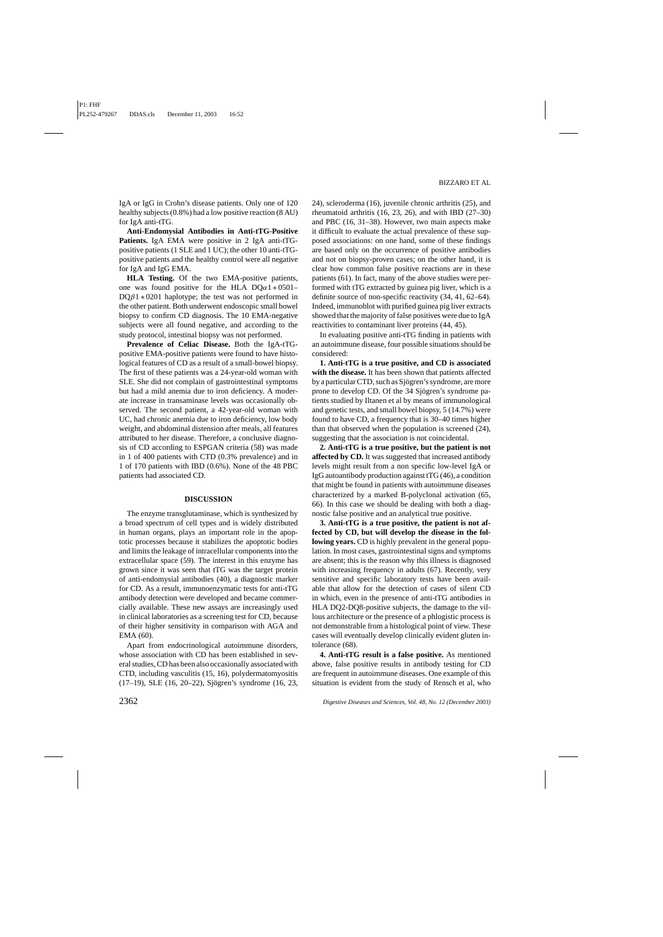IgA or IgG in Crohn's disease patients. Only one of 120 healthy subjects (0.8%) had a low positive reaction (8 AU) for IgA anti-tTG.

**Anti-Endomysial Antibodies in Anti-tTG-Positive Patients.** IgA EMA were positive in 2 IgA anti-tTGpositive patients (1 SLE and 1 UC); the other 10 anti-tTGpositive patients and the healthy control were all negative for IgA and IgG EMA.

**HLA Testing.** Of the two EMA-positive patients, one was found positive for the HLA DQ $\alpha$ 1  $\ast$  0501–  $DQ\beta1 * 0201$  haplotype; the test was not performed in the other patient. Both underwent endoscopic small bowel biopsy to confirm CD diagnosis. The 10 EMA-negative subjects were all found negative, and according to the study protocol, intestinal biopsy was not performed.

**Prevalence of Celiac Disease.** Both the IgA-tTGpositive EMA-positive patients were found to have histological features of CD as a result of a small-bowel biopsy. The first of these patients was a 24-year-old woman with SLE. She did not complain of gastrointestinal symptoms but had a mild anemia due to iron deficiency. A moderate increase in transaminase levels was occasionally observed. The second patient, a 42-year-old woman with UC, had chronic anemia due to iron deficiency, low body weight, and abdominal distension after meals, all features attributed to her disease. Therefore, a conclusive diagnosis of CD according to ESPGAN criteria (58) was made in 1 of 400 patients with CTD (0.3% prevalence) and in 1 of 170 patients with IBD (0.6%). None of the 48 PBC patients had associated CD.

# **DISCUSSION**

The enzyme transglutaminase, which is synthesized by a broad spectrum of cell types and is widely distributed in human organs, plays an important role in the apoptotic processes because it stabilizes the apoptotic bodies and limits the leakage of intracellular components into the extracellular space (59). The interest in this enzyme has grown since it was seen that tTG was the target protein of anti-endomysial antibodies (40), a diagnostic marker for CD. As a result, immunoenzymatic tests for anti-tTG antibody detection were developed and became commercially available. These new assays are increasingly used in clinical laboratories as a screening test for CD, because of their higher sensitivity in comparison with AGA and EMA (60).

Apart from endocrinological autoimmune disorders, whose association with CD has been established in several studies, CD has been also occasionally associated with CTD, including vasculitis (15, 16), polydermatomyositis (17–19), SLE (16, 20–22), Sjögren's syndrome (16, 23,

24), scleroderma (16), juvenile chronic arthritis (25), and rheumatoid arthritis (16, 23, 26), and with IBD (27–30) and PBC (16, 31–38). However, two main aspects make it difficult to evaluate the actual prevalence of these supposed associations: on one hand, some of these findings are based only on the occurrence of positive antibodies and not on biopsy-proven cases; on the other hand, it is clear how common false positive reactions are in these patients (61). In fact, many of the above studies were performed with tTG extracted by guinea pig liver, which is a definite source of non-specific reactivity (34, 41, 62–64). Indeed, immunoblot with purified guinea pig liver extracts showed that the majority of false positives were due to IgA reactivities to contaminant liver proteins (44, 45).

In evaluating positive anti-tTG finding in patients with an autoimmune disease, four possible situations should be considered:

**1. Anti-tTG is a true positive, and CD is associated with the disease.** It has been shown that patients affected by a particular CTD, such as Sjögren's syndrome, are more prone to develop CD. Of the 34 Sjögren's syndrome patients studied by Iltanen et al by means of immunological and genetic tests, and small bowel biopsy, 5 (14.7%) were found to have CD, a frequency that is 30–40 times higher than that observed when the population is screened (24), suggesting that the association is not coincidental.

**2. Anti-tTG is a true positive, but the patient is not** affected by CD. It was suggested that increased antibody levels might result from a non specific low-level IgA or IgG autoantibody production against tTG (46), a condition that might be found in patients with autoimmune diseases characterized by a marked B-polyclonal activation (65, 66). In this case we should be dealing with both a diagnostic false positive and an analytical true positive.

**3. Anti-tTG is a true positive, the patient is not affected by CD, but will develop the disease in the following years.** CD is highly prevalent in the general population. In most cases, gastrointestinal signs and symptoms are absent; this is the reason why this illness is diagnosed with increasing frequency in adults (67). Recently, very sensitive and specific laboratory tests have been available that allow for the detection of cases of silent CD in which, even in the presence of anti-tTG antibodies in HLA DQ2-DQ8-positive subjects, the damage to the villous architecture or the presence of a phlogistic process is not demonstrable from a histological point of view. These cases will eventually develop clinically evident gluten intolerance (68).

**4. Anti-tTG result is a false positive.** As mentioned above, false positive results in antibody testing for CD are frequent in autoimmune diseases. One example of this situation is evident from the study of Rensch et al, who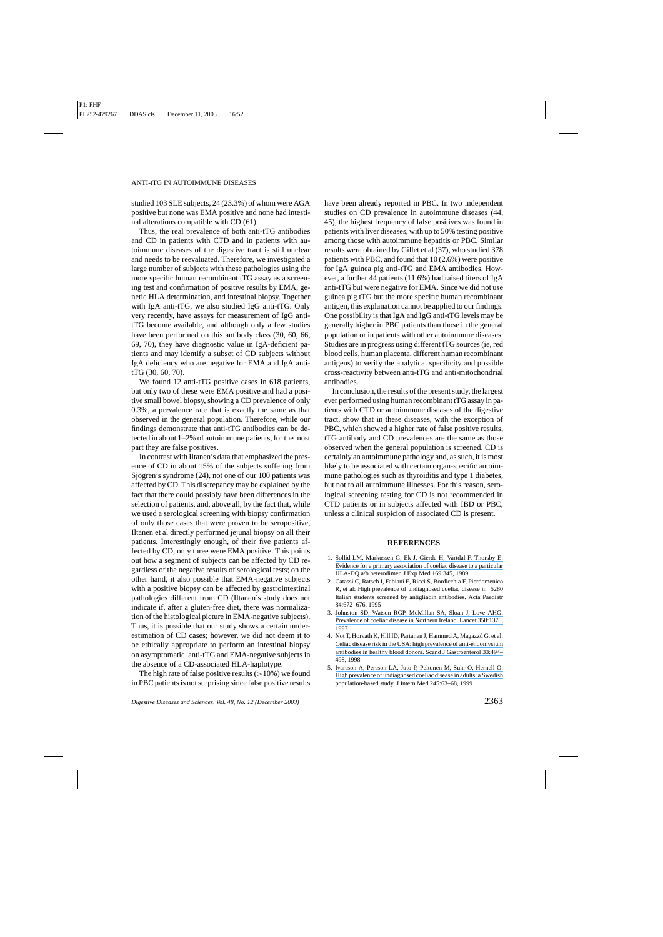studied 103 SLE subjects, 24 (23.3%) of whom were AGA positive but none was EMA positive and none had intestinal alterations compatible with CD (61).

Thus, the real prevalence of both anti-tTG antibodies and CD in patients with CTD and in patients with autoimmune diseases of the digestive tract is still unclear and needs to be reevaluated. Therefore, we investigated a large number of subjects with these pathologies using the more specific human recombinant tTG assay as a screening test and confirmation of positive results by EMA, genetic HLA determination, and intestinal biopsy. Together with IgA anti-tTG, we also studied IgG anti-tTG. Only very recently, have assays for measurement of IgG antitTG become available, and although only a few studies have been performed on this antibody class (30, 60, 66, 69, 70), they have diagnostic value in IgA-deficient patients and may identify a subset of CD subjects without IgA deficiency who are negative for EMA and IgA antitTG (30, 60, 70).

We found 12 anti-tTG positive cases in 618 patients, but only two of these were EMA positive and had a positive small bowel biopsy, showing a CD prevalence of only 0.3%, a prevalence rate that is exactly the same as that observed in the general population. Therefore, while our findings demonstrate that anti-tTG antibodies can be detected in about 1–2% of autoimmune patients, for the most part they are false positives.

In contrast with Iltanen's data that emphasized the presence of CD in about 15% of the subjects suffering from Sjögren's syndrome (24), not one of our 100 patients was affected by CD. This discrepancy may be explained by the fact that there could possibly have been differences in the selection of patients, and, above all, by the fact that, while we used a serological screening with biopsy confirmation of only those cases that were proven to be seropositive, Iltanen et al directly performed jejunal biopsy on all their patients. Interestingly enough, of their five patients affected by CD, only three were EMA positive. This points out how a segment of subjects can be affected by CD regardless of the negative results of serological tests; on the other hand, it also possible that EMA-negative subjects with a positive biopsy can be affected by gastrointestinal pathologies different from CD (Iltanen's study does not indicate if, after a gluten-free diet, there was normalization of the histological picture in EMA-negative subjects). Thus, it is possible that our study shows a certain underestimation of CD cases; however, we did not deem it to be ethically appropriate to perform an intestinal biopsy on asymptomatic, anti-tTG and EMA-negative subjects in the absence of a CD-associated HLA-haplotype.

The high rate of false positive results  $(>10\%)$  we found in PBC patients is not surprising since false positive results have been already reported in PBC. In two independent studies on CD prevalence in autoimmune diseases (44, 45), the highest frequency of false positives was found in patients with liver diseases, with up to 50% testing positive among those with autoimmune hepatitis or PBC. Similar results were obtained by Gillet et al (37), who studied 378 patients with PBC, and found that 10 (2.6%) were positive for IgA guinea pig anti-tTG and EMA antibodies. However, a further 44 patients (11.6%) had raised titers of IgA anti-tTG but were negative for EMA. Since we did not use guinea pig tTG but the more specific human recombinant antigen, this explanation cannot be applied to our findings. One possibility is that IgA and IgG anti-tTG levels may be generally higher in PBC patients than those in the general population or in patients with other autoimmune diseases. Studies are in progress using different tTG sources (ie, red blood cells, human placenta, different human recombinant antigens) to verify the analytical specificity and possible cross-reactivity between anti-tTG and anti-mitochondrial antibodies.

In conclusion, the results of the present study, the largest ever performed using human recombinant tTG assay in patients with CTD or autoimmune diseases of the digestive tract, show that in these diseases, with the exception of PBC, which showed a higher rate of false positive results, tTG antibody and CD prevalences are the same as those observed when the general population is screened. CD is certainly an autoimmune pathology and, as such, it is most likely to be associated with certain organ-specific autoimmune pathologies such as thyroiditis and type 1 diabetes, but not to all autoimmune illnesses. For this reason, serological screening testing for CD is not recommended in CTD patients or in subjects affected with IBD or PBC, unless a clinical suspicion of associated CD is present.

#### **REFERENCES**

- 1. [Sollid LM, Markussen G, Ek J, Gierde H, Vartdal F, Thorsby E:](https://www.researchgate.net/publication/20245918_Evidence_for_a_primary_association_of_celiac_disease_to_a_particular_HLA-DQ_ab_heterodimer?el=1_x_8&enrichId=rgreq-58f9a50748de5c324ed6dc9d383fb2ed-XXX&enrichSource=Y292ZXJQYWdlOzg5MjU1OTg7QVM6MjEyNjY1NDc0NTIzMTQxQDE0Mjc3MTQ4MDg4NTA=) [Evidence for a primary association of coeliac disease to a particular](https://www.researchgate.net/publication/20245918_Evidence_for_a_primary_association_of_celiac_disease_to_a_particular_HLA-DQ_ab_heterodimer?el=1_x_8&enrichId=rgreq-58f9a50748de5c324ed6dc9d383fb2ed-XXX&enrichSource=Y292ZXJQYWdlOzg5MjU1OTg7QVM6MjEyNjY1NDc0NTIzMTQxQDE0Mjc3MTQ4MDg4NTA=) [HLA-DQ a/b heterodimer. J Exp Med 169:345, 1989](https://www.researchgate.net/publication/20245918_Evidence_for_a_primary_association_of_celiac_disease_to_a_particular_HLA-DQ_ab_heterodimer?el=1_x_8&enrichId=rgreq-58f9a50748de5c324ed6dc9d383fb2ed-XXX&enrichSource=Y292ZXJQYWdlOzg5MjU1OTg7QVM6MjEyNjY1NDc0NTIzMTQxQDE0Mjc3MTQ4MDg4NTA=)
- 2. Catassi C, Ratsch I, Fabiani E, Ricci S, Bordicchia F, Pierdomenico R, et al: High prevalence of undiagnosed coeliac disease in 5280 Italian students screened by antigliadin antibodies. Acta Paediatr 84:672–676, 1995
- 3. [Johnston SD, Watson RGP, McMillan SA, Sloan J, Love AHG:](https://www.researchgate.net/publication/13865326_Prevalence_of_coeliac_disease_in_Northern_Ireland?el=1_x_8&enrichId=rgreq-58f9a50748de5c324ed6dc9d383fb2ed-XXX&enrichSource=Y292ZXJQYWdlOzg5MjU1OTg7QVM6MjEyNjY1NDc0NTIzMTQxQDE0Mjc3MTQ4MDg4NTA=) [Prevalence of coeliac disease in Northern Ireland. Lancet 350:1370,](https://www.researchgate.net/publication/13865326_Prevalence_of_coeliac_disease_in_Northern_Ireland?el=1_x_8&enrichId=rgreq-58f9a50748de5c324ed6dc9d383fb2ed-XXX&enrichSource=Y292ZXJQYWdlOzg5MjU1OTg7QVM6MjEyNjY1NDc0NTIzMTQxQDE0Mjc3MTQ4MDg4NTA=) [1997](https://www.researchgate.net/publication/13865326_Prevalence_of_coeliac_disease_in_Northern_Ireland?el=1_x_8&enrichId=rgreq-58f9a50748de5c324ed6dc9d383fb2ed-XXX&enrichSource=Y292ZXJQYWdlOzg5MjU1OTg7QVM6MjEyNjY1NDc0NTIzMTQxQDE0Mjc3MTQ4MDg4NTA=)
- 4. Not T, Horvath K, Hill ID, Partanen J, Hammed A, Magazzù G, et al: [Celiac disease risk in the USA: high prevalence of anti-endomysium](https://www.researchgate.net/publication/13635763_Celiac_Disease_Risk_in_the_USA_High_Prevalence_of_Antiendomysium_Antibodies_in_Healthy_Blood_Donors?el=1_x_8&enrichId=rgreq-58f9a50748de5c324ed6dc9d383fb2ed-XXX&enrichSource=Y292ZXJQYWdlOzg5MjU1OTg7QVM6MjEyNjY1NDc0NTIzMTQxQDE0Mjc3MTQ4MDg4NTA=) [antibodies in healthy blood donors. Scand J Gastroenterol 33:494–](https://www.researchgate.net/publication/13635763_Celiac_Disease_Risk_in_the_USA_High_Prevalence_of_Antiendomysium_Antibodies_in_Healthy_Blood_Donors?el=1_x_8&enrichId=rgreq-58f9a50748de5c324ed6dc9d383fb2ed-XXX&enrichSource=Y292ZXJQYWdlOzg5MjU1OTg7QVM6MjEyNjY1NDc0NTIzMTQxQDE0Mjc3MTQ4MDg4NTA=) [498, 1998](https://www.researchgate.net/publication/13635763_Celiac_Disease_Risk_in_the_USA_High_Prevalence_of_Antiendomysium_Antibodies_in_Healthy_Blood_Donors?el=1_x_8&enrichId=rgreq-58f9a50748de5c324ed6dc9d383fb2ed-XXX&enrichSource=Y292ZXJQYWdlOzg5MjU1OTg7QVM6MjEyNjY1NDc0NTIzMTQxQDE0Mjc3MTQ4MDg4NTA=)
- 5. [Ivarsson A, Persson LA, Juto P, Peltonen M, Suhr O, Hernell O:](https://www.researchgate.net/publication/13195006_High_prevalence_of_undiagnosed_coeliac_disease_in_adults_A_Swedish_population-based_study?el=1_x_8&enrichId=rgreq-58f9a50748de5c324ed6dc9d383fb2ed-XXX&enrichSource=Y292ZXJQYWdlOzg5MjU1OTg7QVM6MjEyNjY1NDc0NTIzMTQxQDE0Mjc3MTQ4MDg4NTA=) [High prevalence of undiagnosed coeliac disease in adults: a Swedish](https://www.researchgate.net/publication/13195006_High_prevalence_of_undiagnosed_coeliac_disease_in_adults_A_Swedish_population-based_study?el=1_x_8&enrichId=rgreq-58f9a50748de5c324ed6dc9d383fb2ed-XXX&enrichSource=Y292ZXJQYWdlOzg5MjU1OTg7QVM6MjEyNjY1NDc0NTIzMTQxQDE0Mjc3MTQ4MDg4NTA=) [population-based study. J Intern Med 245:63–68, 1999](https://www.researchgate.net/publication/13195006_High_prevalence_of_undiagnosed_coeliac_disease_in_adults_A_Swedish_population-based_study?el=1_x_8&enrichId=rgreq-58f9a50748de5c324ed6dc9d383fb2ed-XXX&enrichSource=Y292ZXJQYWdlOzg5MjU1OTg7QVM6MjEyNjY1NDc0NTIzMTQxQDE0Mjc3MTQ4MDg4NTA=)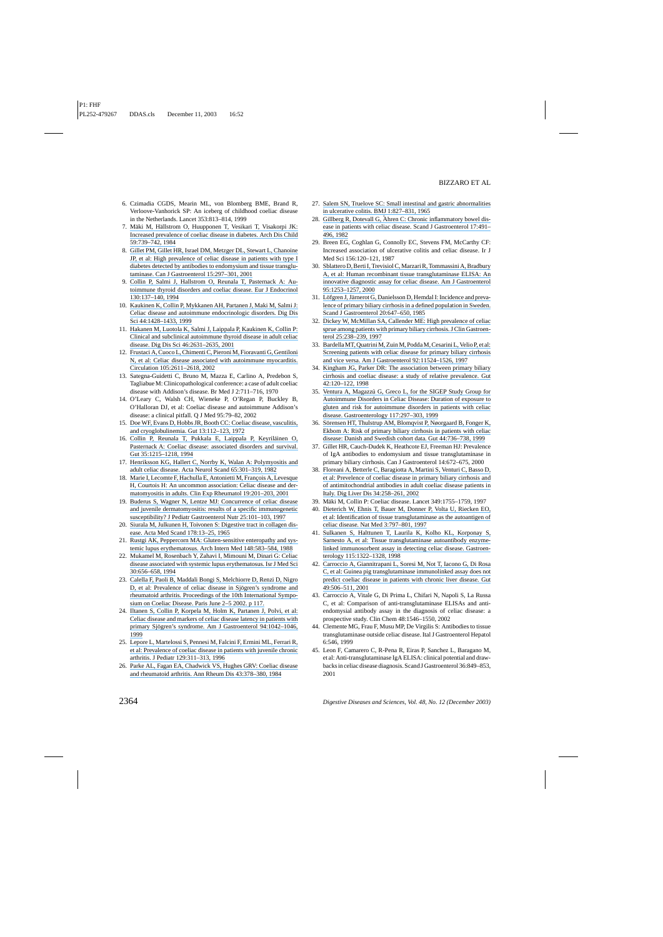- 6. Czimadia CGDS, Mearin ML, von Blomberg BME, Brand R, Verloove-Vanhorick SP: An iceberg of childhood coeliac disease in the Netherlands. Lancet 353:813–814, 1999
- 7. Mäki M, Hällstrom O, Huupponen T, Vesikari T, Visakorpi JK: [Increased prevalence of coeliac disease in diabetes. Arch Dis Child](https://www.researchgate.net/publication/16719178_Increased_prevalence_of_celiac_disease_in_diabetes?el=1_x_8&enrichId=rgreq-58f9a50748de5c324ed6dc9d383fb2ed-XXX&enrichSource=Y292ZXJQYWdlOzg5MjU1OTg7QVM6MjEyNjY1NDc0NTIzMTQxQDE0Mjc3MTQ4MDg4NTA=) [59:739–742, 1984](https://www.researchgate.net/publication/16719178_Increased_prevalence_of_celiac_disease_in_diabetes?el=1_x_8&enrichId=rgreq-58f9a50748de5c324ed6dc9d383fb2ed-XXX&enrichSource=Y292ZXJQYWdlOzg5MjU1OTg7QVM6MjEyNjY1NDc0NTIzMTQxQDE0Mjc3MTQ4MDg4NTA=)
- 8. [Gillet PM, Gillet HR, Israel DM, Metzger DL, Stewart L, Chanoine](https://www.researchgate.net/publication/11958189_High_Prevalence_of_Celiac_Disease_in_Patients_with_Type_1_Diabetes_Detected_by_Antibodies_to_Endomysium_and_Tissue_Transglutaminase?el=1_x_8&enrichId=rgreq-58f9a50748de5c324ed6dc9d383fb2ed-XXX&enrichSource=Y292ZXJQYWdlOzg5MjU1OTg7QVM6MjEyNjY1NDc0NTIzMTQxQDE0Mjc3MTQ4MDg4NTA=) [JP, et al: High prevalence of celiac disease in patients with type I](https://www.researchgate.net/publication/11958189_High_Prevalence_of_Celiac_Disease_in_Patients_with_Type_1_Diabetes_Detected_by_Antibodies_to_Endomysium_and_Tissue_Transglutaminase?el=1_x_8&enrichId=rgreq-58f9a50748de5c324ed6dc9d383fb2ed-XXX&enrichSource=Y292ZXJQYWdlOzg5MjU1OTg7QVM6MjEyNjY1NDc0NTIzMTQxQDE0Mjc3MTQ4MDg4NTA=) [diabetes detected by antibodies to endomysium and tissue transglu](https://www.researchgate.net/publication/11958189_High_Prevalence_of_Celiac_Disease_in_Patients_with_Type_1_Diabetes_Detected_by_Antibodies_to_Endomysium_and_Tissue_Transglutaminase?el=1_x_8&enrichId=rgreq-58f9a50748de5c324ed6dc9d383fb2ed-XXX&enrichSource=Y292ZXJQYWdlOzg5MjU1OTg7QVM6MjEyNjY1NDc0NTIzMTQxQDE0Mjc3MTQ4MDg4NTA=)[taminase. Can J Gastroenterol 15:297–301, 2001](https://www.researchgate.net/publication/11958189_High_Prevalence_of_Celiac_Disease_in_Patients_with_Type_1_Diabetes_Detected_by_Antibodies_to_Endomysium_and_Tissue_Transglutaminase?el=1_x_8&enrichId=rgreq-58f9a50748de5c324ed6dc9d383fb2ed-XXX&enrichSource=Y292ZXJQYWdlOzg5MjU1OTg7QVM6MjEyNjY1NDc0NTIzMTQxQDE0Mjc3MTQ4MDg4NTA=)
- 9. [Collin P, Salmi J, Hallstrom O, Reunala T, Pasternack A: Au](https://www.researchgate.net/publication/15068140_Autoimmune_thyroid_disorders_and_coeliac_disease?el=1_x_8&enrichId=rgreq-58f9a50748de5c324ed6dc9d383fb2ed-XXX&enrichSource=Y292ZXJQYWdlOzg5MjU1OTg7QVM6MjEyNjY1NDc0NTIzMTQxQDE0Mjc3MTQ4MDg4NTA=)[toimmune thyroid disorders and coeliac disease. Eur J Endocrinol](https://www.researchgate.net/publication/15068140_Autoimmune_thyroid_disorders_and_coeliac_disease?el=1_x_8&enrichId=rgreq-58f9a50748de5c324ed6dc9d383fb2ed-XXX&enrichSource=Y292ZXJQYWdlOzg5MjU1OTg7QVM6MjEyNjY1NDc0NTIzMTQxQDE0Mjc3MTQ4MDg4NTA=) [130:137–140, 1994](https://www.researchgate.net/publication/15068140_Autoimmune_thyroid_disorders_and_coeliac_disease?el=1_x_8&enrichId=rgreq-58f9a50748de5c324ed6dc9d383fb2ed-XXX&enrichSource=Y292ZXJQYWdlOzg5MjU1OTg7QVM6MjEyNjY1NDc0NTIzMTQxQDE0Mjc3MTQ4MDg4NTA=)
- 10. [Kaukinen K, Collin P, Mykkanen AH, Partanen J, Maki M, Salmi J:](https://www.researchgate.net/publication/12810146_Celiac_Disease_and_Autoimmune_Endocrinologic_Disorders?el=1_x_8&enrichId=rgreq-58f9a50748de5c324ed6dc9d383fb2ed-XXX&enrichSource=Y292ZXJQYWdlOzg5MjU1OTg7QVM6MjEyNjY1NDc0NTIzMTQxQDE0Mjc3MTQ4MDg4NTA=) [Celiac disease and autoimmune endocrinologic disorders. Dig Dis](https://www.researchgate.net/publication/12810146_Celiac_Disease_and_Autoimmune_Endocrinologic_Disorders?el=1_x_8&enrichId=rgreq-58f9a50748de5c324ed6dc9d383fb2ed-XXX&enrichSource=Y292ZXJQYWdlOzg5MjU1OTg7QVM6MjEyNjY1NDc0NTIzMTQxQDE0Mjc3MTQ4MDg4NTA=) [Sci 44:1428–1433, 1999](https://www.researchgate.net/publication/12810146_Celiac_Disease_and_Autoimmune_Endocrinologic_Disorders?el=1_x_8&enrichId=rgreq-58f9a50748de5c324ed6dc9d383fb2ed-XXX&enrichSource=Y292ZXJQYWdlOzg5MjU1OTg7QVM6MjEyNjY1NDc0NTIzMTQxQDE0Mjc3MTQ4MDg4NTA=)
- 11. [Hakanen M, Luotola K, Salmi J, Laippala P, Kaukinen K, Collin P:](https://www.researchgate.net/publication/11590093_Clinical_and_Subclinical_Autoimmune_Thyroid_Disease_in_Adult_Celiac_Disease?el=1_x_8&enrichId=rgreq-58f9a50748de5c324ed6dc9d383fb2ed-XXX&enrichSource=Y292ZXJQYWdlOzg5MjU1OTg7QVM6MjEyNjY1NDc0NTIzMTQxQDE0Mjc3MTQ4MDg4NTA=) [Clinical and subclinical autoimmune thyroid disease in adult celiac](https://www.researchgate.net/publication/11590093_Clinical_and_Subclinical_Autoimmune_Thyroid_Disease_in_Adult_Celiac_Disease?el=1_x_8&enrichId=rgreq-58f9a50748de5c324ed6dc9d383fb2ed-XXX&enrichSource=Y292ZXJQYWdlOzg5MjU1OTg7QVM6MjEyNjY1NDc0NTIzMTQxQDE0Mjc3MTQ4MDg4NTA=) [disease. Dig Dis Sci 46:2631–2635, 2001](https://www.researchgate.net/publication/11590093_Clinical_and_Subclinical_Autoimmune_Thyroid_Disease_in_Adult_Celiac_Disease?el=1_x_8&enrichId=rgreq-58f9a50748de5c324ed6dc9d383fb2ed-XXX&enrichSource=Y292ZXJQYWdlOzg5MjU1OTg7QVM6MjEyNjY1NDc0NTIzMTQxQDE0Mjc3MTQ4MDg4NTA=)
- 12. [Frustaci A, Cuoco L, Chimenti C, Pieroni M, Fioravanti G, Gentiloni](https://www.researchgate.net/publication/11328452_Celiac_disease_associated_with_autoimmune_myocarditis?el=1_x_8&enrichId=rgreq-58f9a50748de5c324ed6dc9d383fb2ed-XXX&enrichSource=Y292ZXJQYWdlOzg5MjU1OTg7QVM6MjEyNjY1NDc0NTIzMTQxQDE0Mjc3MTQ4MDg4NTA=) [N, et al: Celiac disease associated with autoimmune myocarditis.](https://www.researchgate.net/publication/11328452_Celiac_disease_associated_with_autoimmune_myocarditis?el=1_x_8&enrichId=rgreq-58f9a50748de5c324ed6dc9d383fb2ed-XXX&enrichSource=Y292ZXJQYWdlOzg5MjU1OTg7QVM6MjEyNjY1NDc0NTIzMTQxQDE0Mjc3MTQ4MDg4NTA=) [Circulation 105:2611–2618, 2002](https://www.researchgate.net/publication/11328452_Celiac_disease_associated_with_autoimmune_myocarditis?el=1_x_8&enrichId=rgreq-58f9a50748de5c324ed6dc9d383fb2ed-XXX&enrichSource=Y292ZXJQYWdlOzg5MjU1OTg7QVM6MjEyNjY1NDc0NTIzMTQxQDE0Mjc3MTQ4MDg4NTA=)
- 13. Sategna-Guidetti C, Bruno M, Mazza E, Carlino A, Predebon S, Tagliabue M: Clinicopathological conference: a case of adult coeliac disease with Addison's disease. Br Med J 2:711–716, 1970
- 14. O'Leary C, Walsh CH, Wieneke P, O'Regan P, Buckley B, O'Halloran DJ, et al: Coeliac disease and autoimmune Addison's disease: a clinical pitfall. Q J Med 95:79–82, 2002
- 15. [Doe WF, Evans D, Hobbs JR, Booth CC: Coeliac disease, vasculitis,](https://www.researchgate.net/publication/18539930_Coeliac_disease_vasculitis_and_cryoglobulinaemia?el=1_x_8&enrichId=rgreq-58f9a50748de5c324ed6dc9d383fb2ed-XXX&enrichSource=Y292ZXJQYWdlOzg5MjU1OTg7QVM6MjEyNjY1NDc0NTIzMTQxQDE0Mjc3MTQ4MDg4NTA=) [and cryoglobulinemia. Gut 13:112–123, 1972](https://www.researchgate.net/publication/18539930_Coeliac_disease_vasculitis_and_cryoglobulinaemia?el=1_x_8&enrichId=rgreq-58f9a50748de5c324ed6dc9d383fb2ed-XXX&enrichSource=Y292ZXJQYWdlOzg5MjU1OTg7QVM6MjEyNjY1NDc0NTIzMTQxQDE0Mjc3MTQ4MDg4NTA=)
- 16. Collin P, Reunala T, Pukkala E, Laippala P, Keyriläinen O, [Pasternack A: Coeliac disease: associated disorders and survival.](https://www.researchgate.net/publication/15240465_Coeliac_disease_-_associated_disorders_and_survival?el=1_x_8&enrichId=rgreq-58f9a50748de5c324ed6dc9d383fb2ed-XXX&enrichSource=Y292ZXJQYWdlOzg5MjU1OTg7QVM6MjEyNjY1NDc0NTIzMTQxQDE0Mjc3MTQ4MDg4NTA=) [Gut 35:1215–1218, 1994](https://www.researchgate.net/publication/15240465_Coeliac_disease_-_associated_disorders_and_survival?el=1_x_8&enrichId=rgreq-58f9a50748de5c324ed6dc9d383fb2ed-XXX&enrichSource=Y292ZXJQYWdlOzg5MjU1OTg7QVM6MjEyNjY1NDc0NTIzMTQxQDE0Mjc3MTQ4MDg4NTA=)
- 17. [Henriksson KG, Hallert C, Norrby K, Walan A: Polymyositis and](https://www.researchgate.net/publication/227846059_Polymyositis_and_adult_celiac_disease?el=1_x_8&enrichId=rgreq-58f9a50748de5c324ed6dc9d383fb2ed-XXX&enrichSource=Y292ZXJQYWdlOzg5MjU1OTg7QVM6MjEyNjY1NDc0NTIzMTQxQDE0Mjc3MTQ4MDg4NTA=) [adult celiac disease. Acta Neurol Scand 65:301–319, 1982](https://www.researchgate.net/publication/227846059_Polymyositis_and_adult_celiac_disease?el=1_x_8&enrichId=rgreq-58f9a50748de5c324ed6dc9d383fb2ed-XXX&enrichSource=Y292ZXJQYWdlOzg5MjU1OTg7QVM6MjEyNjY1NDc0NTIzMTQxQDE0Mjc3MTQ4MDg4NTA=)
- 18. Marie I, Lecomte F, Hachulla E, Antonietti M, François A, Levesque [H, Courtois H: An uncommon association: Celiac disease and der](https://www.researchgate.net/publication/12008797_An_uncommon_association_Celiac_disease_and_dermatomyositis_in_adults?el=1_x_8&enrichId=rgreq-58f9a50748de5c324ed6dc9d383fb2ed-XXX&enrichSource=Y292ZXJQYWdlOzg5MjU1OTg7QVM6MjEyNjY1NDc0NTIzMTQxQDE0Mjc3MTQ4MDg4NTA=)[matomyositis in adults. Clin Exp Rheumatol 19:201–203, 2001](https://www.researchgate.net/publication/12008797_An_uncommon_association_Celiac_disease_and_dermatomyositis_in_adults?el=1_x_8&enrichId=rgreq-58f9a50748de5c324ed6dc9d383fb2ed-XXX&enrichSource=Y292ZXJQYWdlOzg5MjU1OTg7QVM6MjEyNjY1NDc0NTIzMTQxQDE0Mjc3MTQ4MDg4NTA=)
- 19. [Buderus S, Wagner N, Lentze MJ: Concurrence of celiac disease](https://www.researchgate.net/publication/13992158_Concurrence_of_Celiac_Disease_and_Juvenile_Dermatomyositis_Result_of_a_Specific_Immunogenetic_Susceptibility?el=1_x_8&enrichId=rgreq-58f9a50748de5c324ed6dc9d383fb2ed-XXX&enrichSource=Y292ZXJQYWdlOzg5MjU1OTg7QVM6MjEyNjY1NDc0NTIzMTQxQDE0Mjc3MTQ4MDg4NTA=) [and juvenile dermatomyositis: results of a specific immunogenetic](https://www.researchgate.net/publication/13992158_Concurrence_of_Celiac_Disease_and_Juvenile_Dermatomyositis_Result_of_a_Specific_Immunogenetic_Susceptibility?el=1_x_8&enrichId=rgreq-58f9a50748de5c324ed6dc9d383fb2ed-XXX&enrichSource=Y292ZXJQYWdlOzg5MjU1OTg7QVM6MjEyNjY1NDc0NTIzMTQxQDE0Mjc3MTQ4MDg4NTA=) [susceptibility? J Pediatr Gastroenterol Nutr 25:101–103, 1997](https://www.researchgate.net/publication/13992158_Concurrence_of_Celiac_Disease_and_Juvenile_Dermatomyositis_Result_of_a_Specific_Immunogenetic_Susceptibility?el=1_x_8&enrichId=rgreq-58f9a50748de5c324ed6dc9d383fb2ed-XXX&enrichSource=Y292ZXJQYWdlOzg5MjU1OTg7QVM6MjEyNjY1NDc0NTIzMTQxQDE0Mjc3MTQ4MDg4NTA=)
- 20. [Siurala M, Julkunen H, Toivonen S: Digestive tract in collagen dis](https://www.researchgate.net/publication/9267563_Digestive_Tract_in_Collagen_Diseases?el=1_x_8&enrichId=rgreq-58f9a50748de5c324ed6dc9d383fb2ed-XXX&enrichSource=Y292ZXJQYWdlOzg5MjU1OTg7QVM6MjEyNjY1NDc0NTIzMTQxQDE0Mjc3MTQ4MDg4NTA=)[ease. Acta Med Scand 178:13–25, 1965](https://www.researchgate.net/publication/9267563_Digestive_Tract_in_Collagen_Diseases?el=1_x_8&enrichId=rgreq-58f9a50748de5c324ed6dc9d383fb2ed-XXX&enrichSource=Y292ZXJQYWdlOzg5MjU1OTg7QVM6MjEyNjY1NDc0NTIzMTQxQDE0Mjc3MTQ4MDg4NTA=)
- 21. [Rustgi AK, Peppercorn MA: Gluten-sensitive enteropathy and sys](https://www.researchgate.net/publication/19896404_Gluten-sensitive_enteropathy_and_systemic_lupus_erythematosus?el=1_x_8&enrichId=rgreq-58f9a50748de5c324ed6dc9d383fb2ed-XXX&enrichSource=Y292ZXJQYWdlOzg5MjU1OTg7QVM6MjEyNjY1NDc0NTIzMTQxQDE0Mjc3MTQ4MDg4NTA=)[temic lupus erythematosus. Arch Intern Med 148:583–584, 1988](https://www.researchgate.net/publication/19896404_Gluten-sensitive_enteropathy_and_systemic_lupus_erythematosus?el=1_x_8&enrichId=rgreq-58f9a50748de5c324ed6dc9d383fb2ed-XXX&enrichSource=Y292ZXJQYWdlOzg5MjU1OTg7QVM6MjEyNjY1NDc0NTIzMTQxQDE0Mjc3MTQ4MDg4NTA=)
- 22. [Mukamel M, Rosenbach Y, Zahavi I, Mimouni M, Dinari G: Celiac](https://www.researchgate.net/publication/15153001_Celiac_disease_associated_with_systemic_lupus_erythematosus?el=1_x_8&enrichId=rgreq-58f9a50748de5c324ed6dc9d383fb2ed-XXX&enrichSource=Y292ZXJQYWdlOzg5MjU1OTg7QVM6MjEyNjY1NDc0NTIzMTQxQDE0Mjc3MTQ4MDg4NTA=) [disease associated with systemic lupus erythematosus. Isr J Med Sci](https://www.researchgate.net/publication/15153001_Celiac_disease_associated_with_systemic_lupus_erythematosus?el=1_x_8&enrichId=rgreq-58f9a50748de5c324ed6dc9d383fb2ed-XXX&enrichSource=Y292ZXJQYWdlOzg5MjU1OTg7QVM6MjEyNjY1NDc0NTIzMTQxQDE0Mjc3MTQ4MDg4NTA=) [30:656–658, 1994](https://www.researchgate.net/publication/15153001_Celiac_disease_associated_with_systemic_lupus_erythematosus?el=1_x_8&enrichId=rgreq-58f9a50748de5c324ed6dc9d383fb2ed-XXX&enrichSource=Y292ZXJQYWdlOzg5MjU1OTg7QVM6MjEyNjY1NDc0NTIzMTQxQDE0Mjc3MTQ4MDg4NTA=)
- 23. [Calella F, Paoli B, Maddali Bongi S, Melchiorre D, Renzi D, Nigro](https://www.researchgate.net/publication/245934811_26_P_Prevalence_of_coeliac_disease_in_patients_with_primary_Sjogren) D, et al: Prevalence of celiac disease in Sjögren's syndrome and [rheumatoid arthritis. Proceedings of the 10th International Sympo](https://www.researchgate.net/publication/245934811_26_P_Prevalence_of_coeliac_disease_in_patients_with_primary_Sjogren)[sium on Coeliac Disease. Paris June 2–5 2002. p 117.](https://www.researchgate.net/publication/245934811_26_P_Prevalence_of_coeliac_disease_in_patients_with_primary_Sjogren)
- 24. [Iltanen S, Collin P, Korpela M, Holm K, Partanen J, Polvi, et al:](https://www.researchgate.net/publication/232780816_Celiac_disease_and_markers_of_celiac_disease_latency_in_patients_with_primary_Sjogren) [Celiac disease and markers of celiac disease latency in patients with](https://www.researchgate.net/publication/232780816_Celiac_disease_and_markers_of_celiac_disease_latency_in_patients_with_primary_Sjogren) primary Sjögren's syndrome. Am J Gastroenterol 94:1042-1046, [1999](https://www.researchgate.net/publication/232780816_Celiac_disease_and_markers_of_celiac_disease_latency_in_patients_with_primary_Sjogren)
- 25. [Lepore L, Martelossi S, Pennesi M, Falcini F, Ermini ML, Ferrari R,](https://www.researchgate.net/publication/14436392_Prevalence_of_celiac_disease_in_patients_with_juvenile_chronic_arthritis?el=1_x_8&enrichId=rgreq-58f9a50748de5c324ed6dc9d383fb2ed-XXX&enrichSource=Y292ZXJQYWdlOzg5MjU1OTg7QVM6MjEyNjY1NDc0NTIzMTQxQDE0Mjc3MTQ4MDg4NTA=) [et al: Prevalence of coeliac disease in patients with juvenile chronic](https://www.researchgate.net/publication/14436392_Prevalence_of_celiac_disease_in_patients_with_juvenile_chronic_arthritis?el=1_x_8&enrichId=rgreq-58f9a50748de5c324ed6dc9d383fb2ed-XXX&enrichSource=Y292ZXJQYWdlOzg5MjU1OTg7QVM6MjEyNjY1NDc0NTIzMTQxQDE0Mjc3MTQ4MDg4NTA=) [arthritis. J Pediatr 129:311–313, 1996](https://www.researchgate.net/publication/14436392_Prevalence_of_celiac_disease_in_patients_with_juvenile_chronic_arthritis?el=1_x_8&enrichId=rgreq-58f9a50748de5c324ed6dc9d383fb2ed-XXX&enrichSource=Y292ZXJQYWdlOzg5MjU1OTg7QVM6MjEyNjY1NDc0NTIzMTQxQDE0Mjc3MTQ4MDg4NTA=)
- 26. [Parke AL, Fagan EA, Chadwick VS, Hughes GRV: Coeliac disease](https://www.researchgate.net/publication/16455893_Coeliac_disease_and_rheumatoid_arthritis?el=1_x_8&enrichId=rgreq-58f9a50748de5c324ed6dc9d383fb2ed-XXX&enrichSource=Y292ZXJQYWdlOzg5MjU1OTg7QVM6MjEyNjY1NDc0NTIzMTQxQDE0Mjc3MTQ4MDg4NTA=) [and rheumatoid arthritis. Ann Rheum Dis 43:378–380, 1984](https://www.researchgate.net/publication/16455893_Coeliac_disease_and_rheumatoid_arthritis?el=1_x_8&enrichId=rgreq-58f9a50748de5c324ed6dc9d383fb2ed-XXX&enrichSource=Y292ZXJQYWdlOzg5MjU1OTg7QVM6MjEyNjY1NDc0NTIzMTQxQDE0Mjc3MTQ4MDg4NTA=)
- 27. [Salem SN, Truelove SC: Small intestinal and gastric abnormalities](https://www.researchgate.net/publication/9323064_Small-Intestinal_and_Gastric_Abnormalities_In_Ulcerative_Colitis?el=1_x_8&enrichId=rgreq-58f9a50748de5c324ed6dc9d383fb2ed-XXX&enrichSource=Y292ZXJQYWdlOzg5MjU1OTg7QVM6MjEyNjY1NDc0NTIzMTQxQDE0Mjc3MTQ4MDg4NTA=) [in ulcerative colitis. BMJ 1:827–831, 1965](https://www.researchgate.net/publication/9323064_Small-Intestinal_and_Gastric_Abnormalities_In_Ulcerative_Colitis?el=1_x_8&enrichId=rgreq-58f9a50748de5c324ed6dc9d383fb2ed-XXX&enrichSource=Y292ZXJQYWdlOzg5MjU1OTg7QVM6MjEyNjY1NDc0NTIzMTQxQDE0Mjc3MTQ4MDg4NTA=)
- 28. Gillberg R, Dotevall G, [Ahren C: Chronic inflammatory bowel dis](https://www.researchgate.net/publication/16063955_Chronic_Inflammatory_Bowel_Disease_in_Patients_with_Coeliac_Disease?el=1_x_8&enrichId=rgreq-58f9a50748de5c324ed6dc9d383fb2ed-XXX&enrichSource=Y292ZXJQYWdlOzg5MjU1OTg7QVM6MjEyNjY1NDc0NTIzMTQxQDE0Mjc3MTQ4MDg4NTA=)[ease in patients with celiac disease. Scand J Gastroenterol 17:491–](https://www.researchgate.net/publication/16063955_Chronic_Inflammatory_Bowel_Disease_in_Patients_with_Coeliac_Disease?el=1_x_8&enrichId=rgreq-58f9a50748de5c324ed6dc9d383fb2ed-XXX&enrichSource=Y292ZXJQYWdlOzg5MjU1OTg7QVM6MjEyNjY1NDc0NTIzMTQxQDE0Mjc3MTQ4MDg4NTA=) [496, 1982](https://www.researchgate.net/publication/16063955_Chronic_Inflammatory_Bowel_Disease_in_Patients_with_Coeliac_Disease?el=1_x_8&enrichId=rgreq-58f9a50748de5c324ed6dc9d383fb2ed-XXX&enrichSource=Y292ZXJQYWdlOzg5MjU1OTg7QVM6MjEyNjY1NDc0NTIzMTQxQDE0Mjc3MTQ4MDg4NTA=)
- 29. Breen EG, Coghlan G, Connolly EC, Stevens FM, McCarthy CF: Increased association of ulcerative colitis and celiac disease. Ir J Med Sci 156:120–121, 1987
- 30. [Sblattero D, Berti I, Trevisiol C, Marzari R, Tommassini A, Bradbury](https://www.researchgate.net/publication/12507178_Human_recombinant_tissue_transglutaminase_ELISA_An_innovative_diagnostic_assay_for_celiac_disease?el=1_x_8&enrichId=rgreq-58f9a50748de5c324ed6dc9d383fb2ed-XXX&enrichSource=Y292ZXJQYWdlOzg5MjU1OTg7QVM6MjEyNjY1NDc0NTIzMTQxQDE0Mjc3MTQ4MDg4NTA=) [A, et al: Human recombinant tissue transglutaminase ELISA: An](https://www.researchgate.net/publication/12507178_Human_recombinant_tissue_transglutaminase_ELISA_An_innovative_diagnostic_assay_for_celiac_disease?el=1_x_8&enrichId=rgreq-58f9a50748de5c324ed6dc9d383fb2ed-XXX&enrichSource=Y292ZXJQYWdlOzg5MjU1OTg7QVM6MjEyNjY1NDc0NTIzMTQxQDE0Mjc3MTQ4MDg4NTA=) [innovative diagnostic assay for celiac disease. Am J Gastroenterol](https://www.researchgate.net/publication/12507178_Human_recombinant_tissue_transglutaminase_ELISA_An_innovative_diagnostic_assay_for_celiac_disease?el=1_x_8&enrichId=rgreq-58f9a50748de5c324ed6dc9d383fb2ed-XXX&enrichSource=Y292ZXJQYWdlOzg5MjU1OTg7QVM6MjEyNjY1NDc0NTIzMTQxQDE0Mjc3MTQ4MDg4NTA=) [95:1253–1257, 2000](https://www.researchgate.net/publication/12507178_Human_recombinant_tissue_transglutaminase_ELISA_An_innovative_diagnostic_assay_for_celiac_disease?el=1_x_8&enrichId=rgreq-58f9a50748de5c324ed6dc9d383fb2ed-XXX&enrichSource=Y292ZXJQYWdlOzg5MjU1OTg7QVM6MjEyNjY1NDc0NTIzMTQxQDE0Mjc3MTQ4MDg4NTA=)
- 31. Löfgren J, Järnerot G, Danielsson D, Hemdal I: Incidence and preva[lence of primary biliary cirrhosis in a defined population in Sweden.](https://www.researchgate.net/publication/19137571_Incidence_and_Prevalence_of_Primary_Biliary_Cirrhosis_in_a_Denned_Population_in_Sweden?el=1_x_8&enrichId=rgreq-58f9a50748de5c324ed6dc9d383fb2ed-XXX&enrichSource=Y292ZXJQYWdlOzg5MjU1OTg7QVM6MjEyNjY1NDc0NTIzMTQxQDE0Mjc3MTQ4MDg4NTA=) [Scand J Gastroenterol 20:647–650, 1985](https://www.researchgate.net/publication/19137571_Incidence_and_Prevalence_of_Primary_Biliary_Cirrhosis_in_a_Denned_Population_in_Sweden?el=1_x_8&enrichId=rgreq-58f9a50748de5c324ed6dc9d383fb2ed-XXX&enrichSource=Y292ZXJQYWdlOzg5MjU1OTg7QVM6MjEyNjY1NDc0NTIzMTQxQDE0Mjc3MTQ4MDg4NTA=)
- 32. [Dickey W, McMillan SA, Callender ME: High prevalence of celiac](https://www.researchgate.net/publication/13817164_High_Prevalence_of_Celiac_Sprue_among_Patients_with_Primary_Biliary_Cirrhosis?el=1_x_8&enrichId=rgreq-58f9a50748de5c324ed6dc9d383fb2ed-XXX&enrichSource=Y292ZXJQYWdlOzg5MjU1OTg7QVM6MjEyNjY1NDc0NTIzMTQxQDE0Mjc3MTQ4MDg4NTA=) [sprue among patients with primary biliary cirrhosis. J Clin Gastroen](https://www.researchgate.net/publication/13817164_High_Prevalence_of_Celiac_Sprue_among_Patients_with_Primary_Biliary_Cirrhosis?el=1_x_8&enrichId=rgreq-58f9a50748de5c324ed6dc9d383fb2ed-XXX&enrichSource=Y292ZXJQYWdlOzg5MjU1OTg7QVM6MjEyNjY1NDc0NTIzMTQxQDE0Mjc3MTQ4MDg4NTA=)[terol 25:238–239, 1997](https://www.researchgate.net/publication/13817164_High_Prevalence_of_Celiac_Sprue_among_Patients_with_Primary_Biliary_Cirrhosis?el=1_x_8&enrichId=rgreq-58f9a50748de5c324ed6dc9d383fb2ed-XXX&enrichSource=Y292ZXJQYWdlOzg5MjU1OTg7QVM6MjEyNjY1NDc0NTIzMTQxQDE0Mjc3MTQ4MDg4NTA=)
- 33. [Bardella MT, Quatrini M, Zuin M, Podda M, Cesarini L, Velio P, et al:](https://www.researchgate.net/publication/13905761_Screening_patients_with_celiac_disease_for_primary_biliary_cirrhosis_and_vice_versa?el=1_x_8&enrichId=rgreq-58f9a50748de5c324ed6dc9d383fb2ed-XXX&enrichSource=Y292ZXJQYWdlOzg5MjU1OTg7QVM6MjEyNjY1NDc0NTIzMTQxQDE0Mjc3MTQ4MDg4NTA=) [Screening patients with celiac disease for primary biliary cirrhosis](https://www.researchgate.net/publication/13905761_Screening_patients_with_celiac_disease_for_primary_biliary_cirrhosis_and_vice_versa?el=1_x_8&enrichId=rgreq-58f9a50748de5c324ed6dc9d383fb2ed-XXX&enrichSource=Y292ZXJQYWdlOzg5MjU1OTg7QVM6MjEyNjY1NDc0NTIzMTQxQDE0Mjc3MTQ4MDg4NTA=) [and vice versa. Am J Gastroenterol 92:11524–1526, 1997](https://www.researchgate.net/publication/13905761_Screening_patients_with_celiac_disease_for_primary_biliary_cirrhosis_and_vice_versa?el=1_x_8&enrichId=rgreq-58f9a50748de5c324ed6dc9d383fb2ed-XXX&enrichSource=Y292ZXJQYWdlOzg5MjU1OTg7QVM6MjEyNjY1NDc0NTIzMTQxQDE0Mjc3MTQ4MDg4NTA=)
- 34. [Kingham JG, Parker DR: The association between primary biliary](https://www.researchgate.net/publication/13731139_The_association_between_primary_biliary_cirrhosis_and_coeliac_disease_A_study_of_relative_prevalences?el=1_x_8&enrichId=rgreq-58f9a50748de5c324ed6dc9d383fb2ed-XXX&enrichSource=Y292ZXJQYWdlOzg5MjU1OTg7QVM6MjEyNjY1NDc0NTIzMTQxQDE0Mjc3MTQ4MDg4NTA=) [cirrhosis and coeliac disease: a study of relative prevalence. Gut](https://www.researchgate.net/publication/13731139_The_association_between_primary_biliary_cirrhosis_and_coeliac_disease_A_study_of_relative_prevalences?el=1_x_8&enrichId=rgreq-58f9a50748de5c324ed6dc9d383fb2ed-XXX&enrichSource=Y292ZXJQYWdlOzg5MjU1OTg7QVM6MjEyNjY1NDc0NTIzMTQxQDE0Mjc3MTQ4MDg4NTA=) [42:120–122, 1998](https://www.researchgate.net/publication/13731139_The_association_between_primary_biliary_cirrhosis_and_coeliac_disease_A_study_of_relative_prevalences?el=1_x_8&enrichId=rgreq-58f9a50748de5c324ed6dc9d383fb2ed-XXX&enrichSource=Y292ZXJQYWdlOzg5MjU1OTg7QVM6MjEyNjY1NDc0NTIzMTQxQDE0Mjc3MTQ4MDg4NTA=)
- 35. Ventura A, Magazzù G, Greco L, for the SIGEP Study Group for [Autoimmune Disorders in Celiac Disease: Duration of exposure to](https://www.researchgate.net/publication/12879457_Duration_Of_Exposure_To_Gluten_And_Risk_For_Autoimmune_Disorders_In_Patients_With_Celiac_Disease?el=1_x_8&enrichId=rgreq-58f9a50748de5c324ed6dc9d383fb2ed-XXX&enrichSource=Y292ZXJQYWdlOzg5MjU1OTg7QVM6MjEyNjY1NDc0NTIzMTQxQDE0Mjc3MTQ4MDg4NTA=) [gluten and risk for autoimmune disorders in patients with celiac](https://www.researchgate.net/publication/12879457_Duration_Of_Exposure_To_Gluten_And_Risk_For_Autoimmune_Disorders_In_Patients_With_Celiac_Disease?el=1_x_8&enrichId=rgreq-58f9a50748de5c324ed6dc9d383fb2ed-XXX&enrichSource=Y292ZXJQYWdlOzg5MjU1OTg7QVM6MjEyNjY1NDc0NTIzMTQxQDE0Mjc3MTQ4MDg4NTA=) [disease. Gastroenterology 117:297–303, 1999](https://www.researchgate.net/publication/12879457_Duration_Of_Exposure_To_Gluten_And_Risk_For_Autoimmune_Disorders_In_Patients_With_Celiac_Disease?el=1_x_8&enrichId=rgreq-58f9a50748de5c324ed6dc9d383fb2ed-XXX&enrichSource=Y292ZXJQYWdlOzg5MjU1OTg7QVM6MjEyNjY1NDc0NTIzMTQxQDE0Mjc3MTQ4MDg4NTA=)
- 36. Sörensen HT, Thulstrup AM, Blomqvist P, Nøorgaard B, Fonger K, [Ekbom A: Risk of primary biliary cirrhosis in patients with celiac](https://www.researchgate.net/publication/13093479_Risk_of_primary_biliary_liver_cirrhosis_in_patients_with_coeliac_disease_Danish_and_Swedish_cohort_data?el=1_x_8&enrichId=rgreq-58f9a50748de5c324ed6dc9d383fb2ed-XXX&enrichSource=Y292ZXJQYWdlOzg5MjU1OTg7QVM6MjEyNjY1NDc0NTIzMTQxQDE0Mjc3MTQ4MDg4NTA=) [disease: Danish and Swedish cohort data. Gut 44:736–738, 1999](https://www.researchgate.net/publication/13093479_Risk_of_primary_biliary_liver_cirrhosis_in_patients_with_coeliac_disease_Danish_and_Swedish_cohort_data?el=1_x_8&enrichId=rgreq-58f9a50748de5c324ed6dc9d383fb2ed-XXX&enrichSource=Y292ZXJQYWdlOzg5MjU1OTg7QVM6MjEyNjY1NDc0NTIzMTQxQDE0Mjc3MTQ4MDg4NTA=)
- 37. Gillet HR, Cauch-Dudek K, Heathcote EJ, Freeman HJ: Prevalence of IgA antibodies to endomysium and tissue transglutaminase in primary biliary cirrhosis. Can J Gastroenterol 14:672–675, 2000
- 38. [Floreani A, Betterle C, Baragiotta A, Martini S, Venturi C, Basso D,](https://www.researchgate.net/publication/11333900_Prevalence_of_coeliac_disease_in_primary_biliary_cirrhosis_and_of_antimitochondrial_antibodies_in_adult_coeliac_disease_patients_in_Italy?el=1_x_8&enrichId=rgreq-58f9a50748de5c324ed6dc9d383fb2ed-XXX&enrichSource=Y292ZXJQYWdlOzg5MjU1OTg7QVM6MjEyNjY1NDc0NTIzMTQxQDE0Mjc3MTQ4MDg4NTA=) [et al: Prevelence of coeliac disease in primary biliary cirrhosis and](https://www.researchgate.net/publication/11333900_Prevalence_of_coeliac_disease_in_primary_biliary_cirrhosis_and_of_antimitochondrial_antibodies_in_adult_coeliac_disease_patients_in_Italy?el=1_x_8&enrichId=rgreq-58f9a50748de5c324ed6dc9d383fb2ed-XXX&enrichSource=Y292ZXJQYWdlOzg5MjU1OTg7QVM6MjEyNjY1NDc0NTIzMTQxQDE0Mjc3MTQ4MDg4NTA=) [of antimitochondrial antibodies in adult coeliac disease patients in](https://www.researchgate.net/publication/11333900_Prevalence_of_coeliac_disease_in_primary_biliary_cirrhosis_and_of_antimitochondrial_antibodies_in_adult_coeliac_disease_patients_in_Italy?el=1_x_8&enrichId=rgreq-58f9a50748de5c324ed6dc9d383fb2ed-XXX&enrichSource=Y292ZXJQYWdlOzg5MjU1OTg7QVM6MjEyNjY1NDc0NTIzMTQxQDE0Mjc3MTQ4MDg4NTA=) [Italy. Dig Liver Dis 34:258–261, 2002](https://www.researchgate.net/publication/11333900_Prevalence_of_coeliac_disease_in_primary_biliary_cirrhosis_and_of_antimitochondrial_antibodies_in_adult_coeliac_disease_patients_in_Italy?el=1_x_8&enrichId=rgreq-58f9a50748de5c324ed6dc9d383fb2ed-XXX&enrichSource=Y292ZXJQYWdlOzg5MjU1OTg7QVM6MjEyNjY1NDc0NTIzMTQxQDE0Mjc3MTQ4MDg4NTA=)
- 39. Mäki M, Collin P: Coeliac disease. Lancet 349:1755-1759, 1997
- 40. [Dieterich W, Ehnis T, Bauer M, Donner P, Volta U, Riecken EO,](https://www.researchgate.net/publication/288061684_Identification_of_tissue_transglutaminase_as_the_autoantigen_of_celiac_disease?el=1_x_8&enrichId=rgreq-58f9a50748de5c324ed6dc9d383fb2ed-XXX&enrichSource=Y292ZXJQYWdlOzg5MjU1OTg7QVM6MjEyNjY1NDc0NTIzMTQxQDE0Mjc3MTQ4MDg4NTA=) [et al: Identification of tissue transglutaminase as the autoantigen of](https://www.researchgate.net/publication/288061684_Identification_of_tissue_transglutaminase_as_the_autoantigen_of_celiac_disease?el=1_x_8&enrichId=rgreq-58f9a50748de5c324ed6dc9d383fb2ed-XXX&enrichSource=Y292ZXJQYWdlOzg5MjU1OTg7QVM6MjEyNjY1NDc0NTIzMTQxQDE0Mjc3MTQ4MDg4NTA=) [celiac disease. Nat Med 3:797–801, 1997](https://www.researchgate.net/publication/288061684_Identification_of_tissue_transglutaminase_as_the_autoantigen_of_celiac_disease?el=1_x_8&enrichId=rgreq-58f9a50748de5c324ed6dc9d383fb2ed-XXX&enrichSource=Y292ZXJQYWdlOzg5MjU1OTg7QVM6MjEyNjY1NDc0NTIzMTQxQDE0Mjc3MTQ4MDg4NTA=)
- 41. [Sulkanen S, Halttunen T, Laurila K, Kolho KL, Korponay S,](https://www.researchgate.net/publication/13453100_Tissue_transglutaminase_autoantibody_enzyme-linked_immunosorbent_assay_in_detecting_celiac_disease?el=1_x_8&enrichId=rgreq-58f9a50748de5c324ed6dc9d383fb2ed-XXX&enrichSource=Y292ZXJQYWdlOzg5MjU1OTg7QVM6MjEyNjY1NDc0NTIzMTQxQDE0Mjc3MTQ4MDg4NTA=) [Sarnesto A, et al: Tissue transglutaminase autoantibody enzyme](https://www.researchgate.net/publication/13453100_Tissue_transglutaminase_autoantibody_enzyme-linked_immunosorbent_assay_in_detecting_celiac_disease?el=1_x_8&enrichId=rgreq-58f9a50748de5c324ed6dc9d383fb2ed-XXX&enrichSource=Y292ZXJQYWdlOzg5MjU1OTg7QVM6MjEyNjY1NDc0NTIzMTQxQDE0Mjc3MTQ4MDg4NTA=)[linked immunosorbent assay in detecting celiac disease. Gastroen](https://www.researchgate.net/publication/13453100_Tissue_transglutaminase_autoantibody_enzyme-linked_immunosorbent_assay_in_detecting_celiac_disease?el=1_x_8&enrichId=rgreq-58f9a50748de5c324ed6dc9d383fb2ed-XXX&enrichSource=Y292ZXJQYWdlOzg5MjU1OTg7QVM6MjEyNjY1NDc0NTIzMTQxQDE0Mjc3MTQ4MDg4NTA=)[terology 115:1322–1328, 1998](https://www.researchgate.net/publication/13453100_Tissue_transglutaminase_autoantibody_enzyme-linked_immunosorbent_assay_in_detecting_celiac_disease?el=1_x_8&enrichId=rgreq-58f9a50748de5c324ed6dc9d383fb2ed-XXX&enrichSource=Y292ZXJQYWdlOzg5MjU1OTg7QVM6MjEyNjY1NDc0NTIzMTQxQDE0Mjc3MTQ4MDg4NTA=)
- 42. [Carroccio A, Giannitrapani L, Soresi M, Not T, Iacono G, Di Rosa](https://www.researchgate.net/publication/11787619_Guinea_pig_transglutaminase_immunolinked_assay_does_not_predict_coeliac_disease_in_patients_with_chronic_liver_disease?el=1_x_8&enrichId=rgreq-58f9a50748de5c324ed6dc9d383fb2ed-XXX&enrichSource=Y292ZXJQYWdlOzg5MjU1OTg7QVM6MjEyNjY1NDc0NTIzMTQxQDE0Mjc3MTQ4MDg4NTA=) [C, et al: Guinea pig transglutaminase immunolinked assay does not](https://www.researchgate.net/publication/11787619_Guinea_pig_transglutaminase_immunolinked_assay_does_not_predict_coeliac_disease_in_patients_with_chronic_liver_disease?el=1_x_8&enrichId=rgreq-58f9a50748de5c324ed6dc9d383fb2ed-XXX&enrichSource=Y292ZXJQYWdlOzg5MjU1OTg7QVM6MjEyNjY1NDc0NTIzMTQxQDE0Mjc3MTQ4MDg4NTA=) [predict coeliac disease in patients with chronic liver disease. Gut](https://www.researchgate.net/publication/11787619_Guinea_pig_transglutaminase_immunolinked_assay_does_not_predict_coeliac_disease_in_patients_with_chronic_liver_disease?el=1_x_8&enrichId=rgreq-58f9a50748de5c324ed6dc9d383fb2ed-XXX&enrichSource=Y292ZXJQYWdlOzg5MjU1OTg7QVM6MjEyNjY1NDc0NTIzMTQxQDE0Mjc3MTQ4MDg4NTA=) [49:506–511, 2001](https://www.researchgate.net/publication/11787619_Guinea_pig_transglutaminase_immunolinked_assay_does_not_predict_coeliac_disease_in_patients_with_chronic_liver_disease?el=1_x_8&enrichId=rgreq-58f9a50748de5c324ed6dc9d383fb2ed-XXX&enrichSource=Y292ZXJQYWdlOzg5MjU1OTg7QVM6MjEyNjY1NDc0NTIzMTQxQDE0Mjc3MTQ4MDg4NTA=)
- 43. Carroccio A, Vitale G, Di Prima L, Chifari N, Napoli S, La Russa C, et al: Comparison of anti-transglutaminase ELISAs and antiendomysial antibody assay in the diagnosis of celiac disease: a prospective study. Clin Chem 48:1546–1550, 2002
- 44. Clemente MG, Frau F, Musu MP, De Virgilis S: Antibodies to tissue transglutaminase outside celiac disease. Ital J Gastroenterol Hepatol 6:546, 1999
- 45. Leon F, Camarero C, R-Pena R, Eiras P, Sanchez L, Baragano M, et al: Anti-transglutaminase IgA ELISA: clinical potential and drawbacks in celiac disease diagnosis. Scand J Gastroenterol 36:849–853, 2001